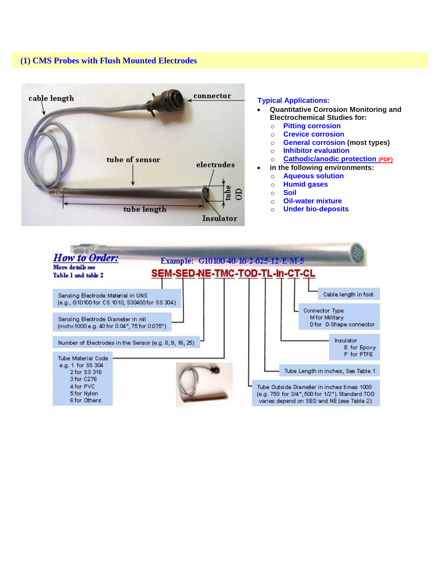## **(1) CMS Probes with Flush Mounted Electrodes**



## **Typical Applications:**

- **Quantitative Corrosion Monitoring and Electrochemical Studies for:**
	- o **Pitting corrosion**
	- o **Crevice corrosion**
	- o **General corrosion (most types)**
	- o **Inhibitor evaluation**
	- o **[Cathodic/anodic protection](http://corrinstruments.com/pdffiles/Cathodic_Protection_04094.pdf) [\(PDF\)](http://corrinstruments.com/pdffiles/Cathodic_Protection_04094.pdf)**
- **in the following environments:**
	- o **Aqueous solution**
	- o **Humid gases**
	- o **Soil**
	- o **Oil-water mixture**
	- o **Under bio-deposits**